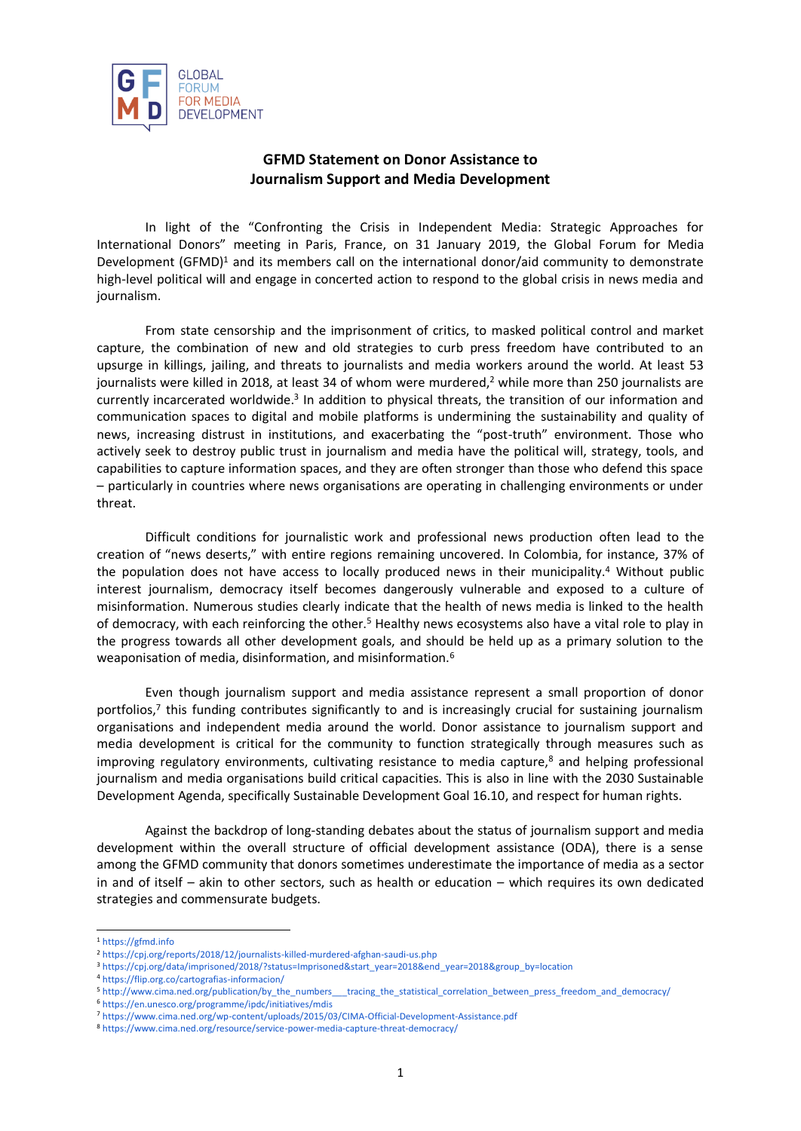

## **GFMD Statement on Donor Assistance to Journalism Support and Media Development**

In light of the "Confronting the Crisis in Independent Media: Strategic Approaches for International Donors" meeting in Paris, France, on 31 January 2019, the Global Forum for Media Development  $(GFMD)^1$  and its members call on the international donor/aid community to demonstrate high-level political will and engage in concerted action to respond to the global crisis in news media and journalism.

From state censorship and the imprisonment of critics, to masked political control and market capture, the combination of new and old strategies to curb press freedom have contributed to an upsurge in killings, jailing, and threats to journalists and media workers around the world. At least 53 journalists were killed in 2018, at least 34 of whom were murdered,<sup>2</sup> while more than 250 journalists are currently incarcerated worldwide.<sup>3</sup> In addition to physical threats, the transition of our information and communication spaces to digital and mobile platforms is undermining the sustainability and quality of news, increasing distrust in institutions, and exacerbating the "post-truth" environment. Those who actively seek to destroy public trust in journalism and media have the political will, strategy, tools, and capabilities to capture information spaces, and they are often stronger than those who defend this space – particularly in countries where news organisations are operating in challenging environments or under threat.

Difficult conditions for journalistic work and professional news production often lead to the creation of "news deserts," with entire regions remaining uncovered. In Colombia, for instance, 37% of the population does not have access to locally produced news in their municipality.<sup>4</sup> Without public interest journalism, democracy itself becomes dangerously vulnerable and exposed to a culture of misinformation. Numerous studies clearly indicate that the health of news media is linked to the health of democracy, with each reinforcing the other.<sup>5</sup> Healthy news ecosystems also have a vital role to play in the progress towards all other development goals, and should be held up as a primary solution to the weaponisation of media, disinformation, and misinformation.<sup>6</sup>

Even though journalism support and media assistance represent a small proportion of donor portfolios,<sup>7</sup> this funding contributes significantly to and is increasingly crucial for sustaining journalism organisations and independent media around the world. Donor assistance to journalism support and media development is critical for the community to function strategically through measures such as improving regulatory environments, cultivating resistance to media capture,<sup>8</sup> and helping professional journalism and media organisations build critical capacities. This is also in line with the 2030 Sustainable Development Agenda, specifically Sustainable Development Goal 16.10, and respect for human rights.

Against the backdrop of long-standing debates about the status of journalism support and media development within the overall structure of official development assistance (ODA), there is a sense among the GFMD community that donors sometimes underestimate the importance of media as a sector in and of itself – akin to other sectors, such as health or education – which requires its own dedicated strategies and commensurate budgets.

-

<sup>6</sup> <https://en.unesco.org/programme/ipdc/initiatives/mdis>

<sup>1</sup> [https://gfmd.info](https://gfmd.info/)

<sup>2</sup> <https://cpj.org/reports/2018/12/journalists-killed-murdered-afghan-saudi-us.php>

<sup>3</sup> [https://cpj.org/data/imprisoned/2018/?status=Imprisoned&start\\_year=2018&end\\_year=2018&group\\_by=location](https://cpj.org/data/imprisoned/2018/?status=Imprisoned&start_year=2018&end_year=2018&group_by=location)

<sup>4</sup> <https://flip.org.co/cartografias-informacion/>

<sup>5</sup> [http://www.cima.ned.org/publication/by\\_the\\_numbers\\_\\_\\_tracing\\_the\\_statistical\\_correlation\\_between\\_press\\_freedom\\_and\\_democracy/](http://www.cima.ned.org/publication/by_the_numbers___tracing_the_statistical_correlation_between_press_freedom_and_democracy/)

<sup>7</sup> <https://www.cima.ned.org/wp-content/uploads/2015/03/CIMA-Official-Development-Assistance.pdf>

<sup>8</sup> <https://www.cima.ned.org/resource/service-power-media-capture-threat-democracy/>